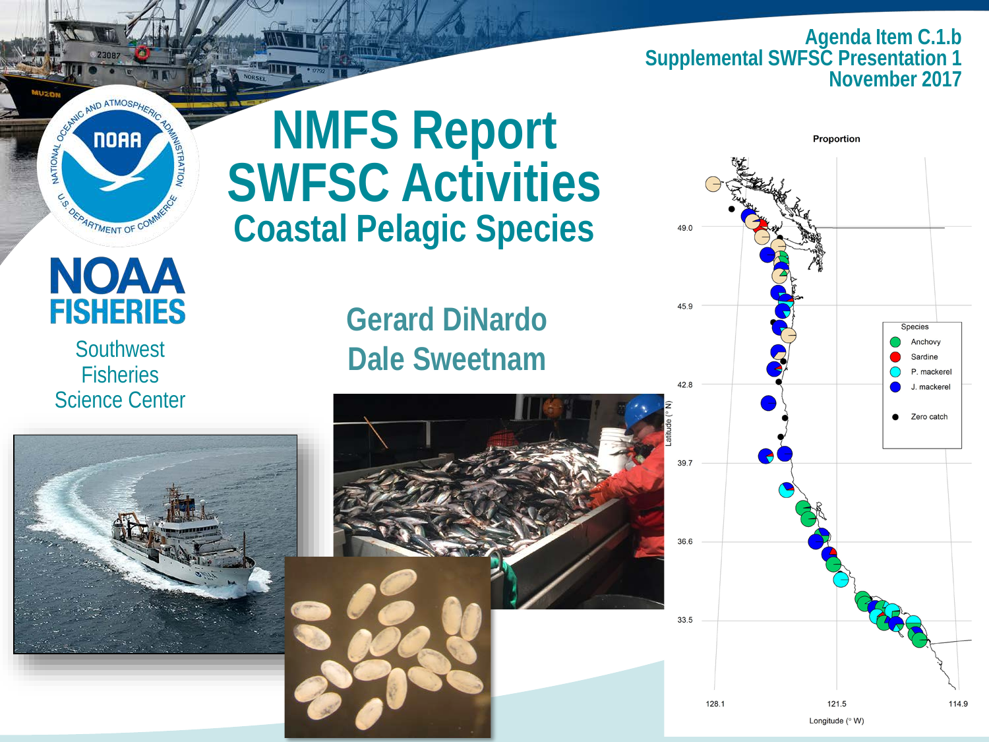**Agenda Item C.1.b Supplemental SWFSC Presentation 1 November 2017**



#### **NMFS Report SWFSC Activities Coastal Pelagic Species**

#### **NOAA FISHERIES**

**Southwest Fisheries** Science Center

#### **Gerard DiNardo Dale Sweetnam**





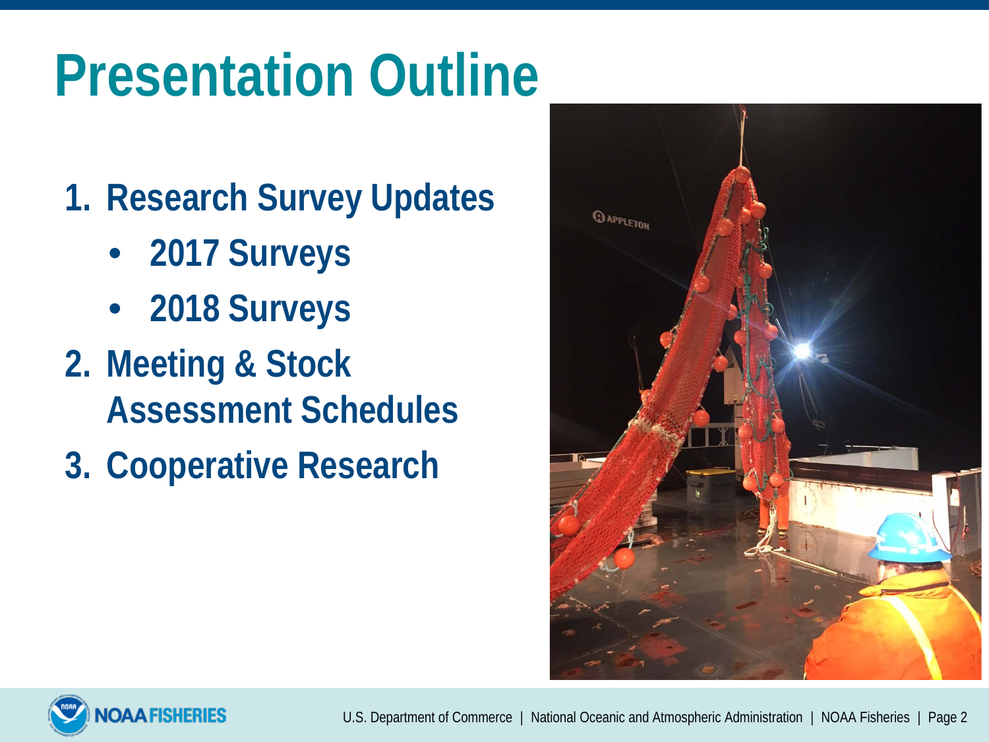# **Presentation Outline**

- **1. Research Survey Updates**
	- **2017 Surveys**
	- **2018 Surveys**
- **2. Meeting & Stock Assessment Schedules**
- **3. Cooperative Research**



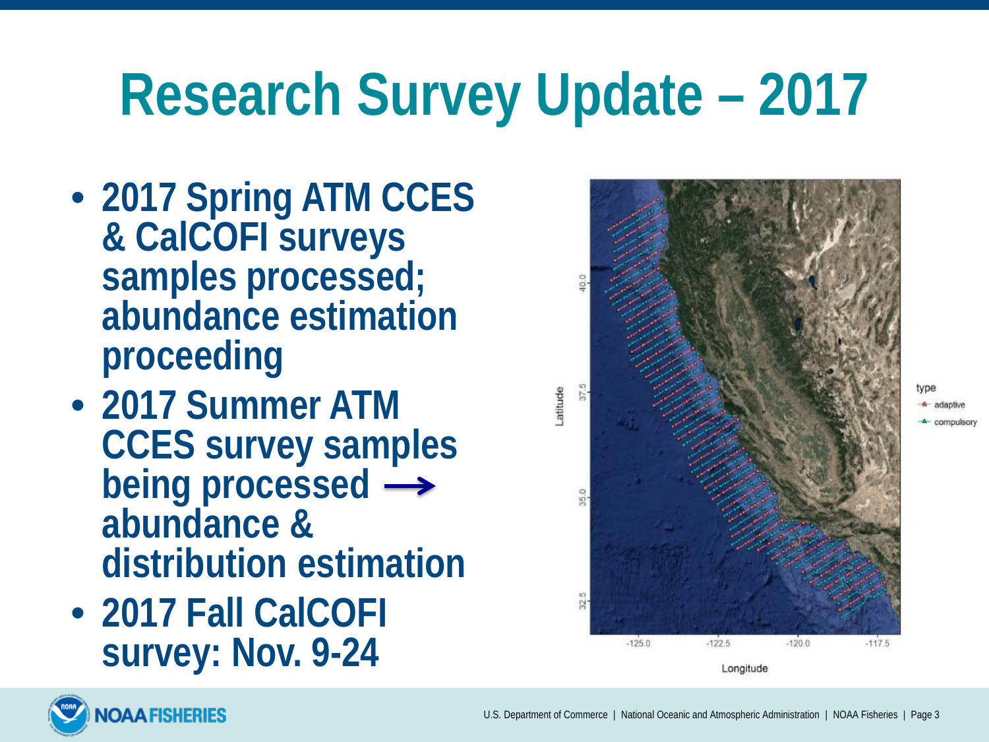## **Research Survey Update – 2017**

- **2017 Spring ATM CCES & CalCOFI surveys samples processed; abundance estimation proceeding**
- **2017 Summer ATM CCES survey samples being processed**  $\rightarrow$ **abundance & distribution estimation**
- **2017 Fall CalCOFI survey: Nov. 9-24**

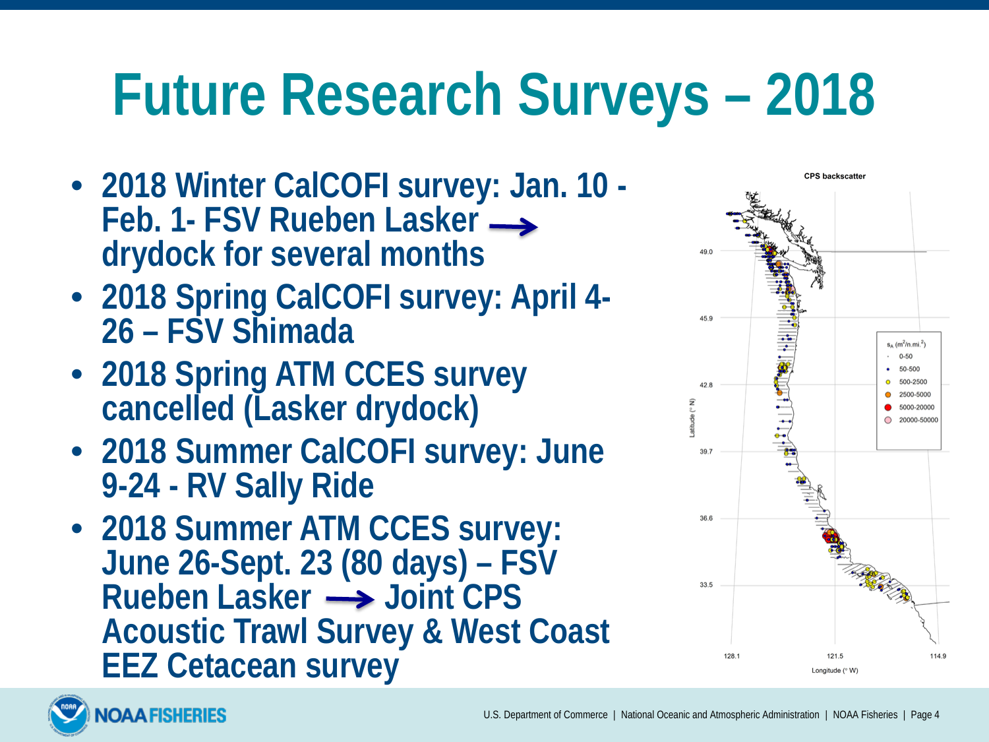# **Future Research Surveys – 2018**

- **2018 Winter CalCOFI survey: Jan. 10 - Feb. 1- FSV Rueben Lasker drydock for several months**
- **2018 Spring CalCOFI survey: April 4- 26 – FSV Shimada**
- **2018 Spring ATM CCES survey cancelled (Lasker drydock)**
- **2018 Summer CalCOFI survey: June 9-24 - RV Sally Ride**
- **2018 Summer ATM CCES survey: June 26-Sept. 23 (80 days) – FSV Rueben Lasker Joint CPS Acoustic Trawl Survey & West Coast EEZ Cetacean survey**



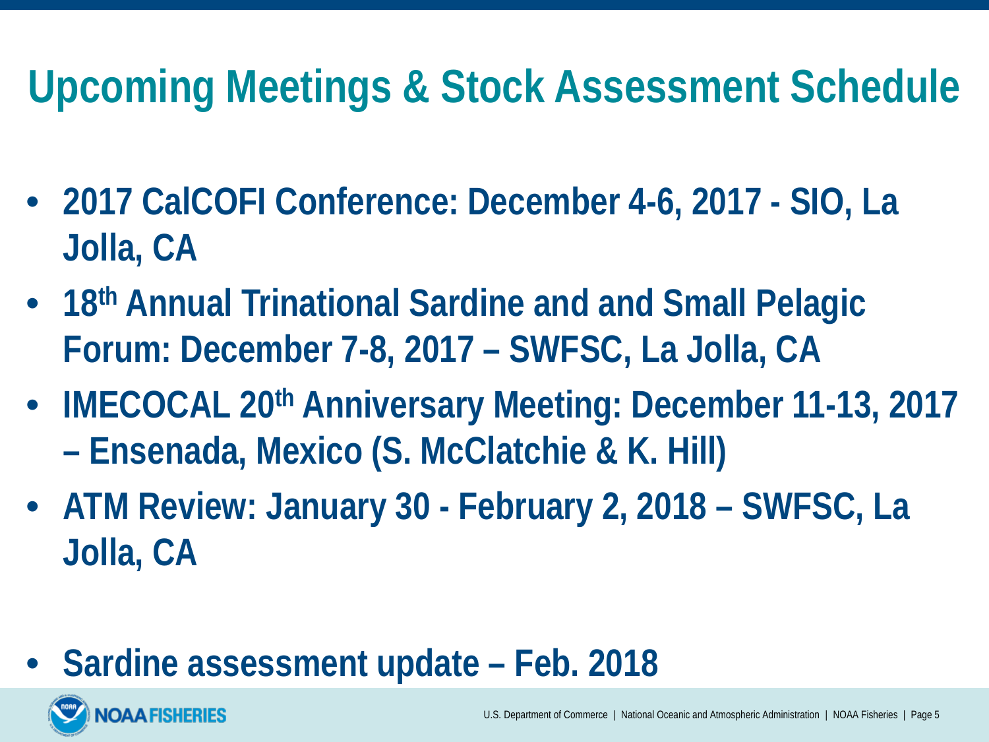## **Upcoming Meetings & Stock Assessment Schedule**

- **2017 CalCOFI Conference: December 4-6, 2017 - SIO, La Jolla, CA**
- **18th Annual Trinational Sardine and and Small Pelagic Forum: December 7-8, 2017 – SWFSC, La Jolla, CA**
- **IMECOCAL 20th Anniversary Meeting: December 11-13, 2017 – Ensenada, Mexico (S. McClatchie & K. Hill)**
- **ATM Review: January 30 - February 2, 2018 – SWFSC, La Jolla, CA**
- **Sardine assessment update – Feb. 2018**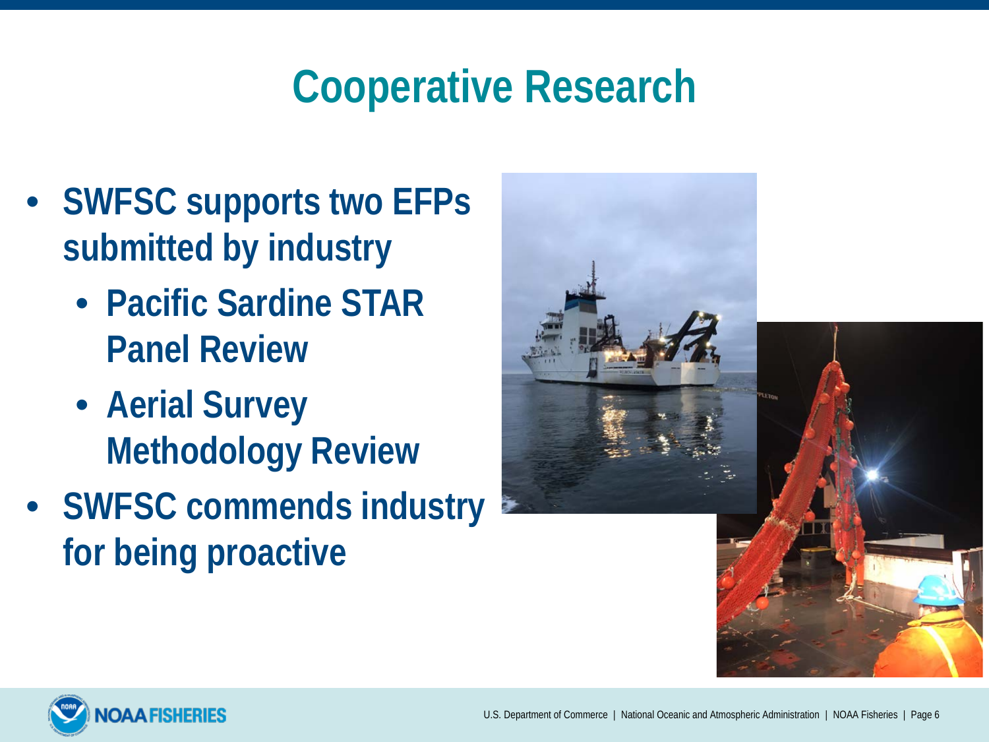## **Cooperative Research**

- **SWFSC supports two EFPs submitted by industry**
	- **Pacific Sardine STAR Panel Review**
	- **Aerial Survey Methodology Review**
- **SWFSC commends industry for being proactive**